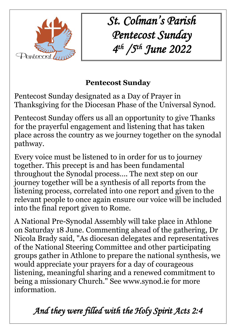

*St. Colman's Parish Pentecost Sunday 4 th /5th June 2022*

## **Pentecost Sunday**

Pentecost Sunday designated as a Day of Prayer in Thanksgiving for the Diocesan Phase of the Universal Synod.

Pentecost Sunday offers us all an opportunity to give Thanks for the prayerful engagement and listening that has taken place across the country as we journey together on the synodal pathway.

Every voice must be listened to in order for us to journey together. This precept is and has been fundamental throughout the Synodal process…. The next step on our journey together will be a synthesis of all reports from the listening process, correlated into one report and given to the relevant people to once again ensure our voice will be included into the final report given to Rome.

A National Pre-Synodal Assembly will take place in Athlone on Saturday 18 June. Commenting ahead of the gathering, Dr Nicola Brady said, "As diocesan delegates and representatives of the National Steering Committee and other participating groups gather in Athlone to prepare the national synthesis, we would appreciate your prayers for a day of courageous listening, meaningful sharing and a renewed commitment to being a missionary Church." See www.synod.ie for more information.

*And they were filled with the Holy Spirit Acts 2:4*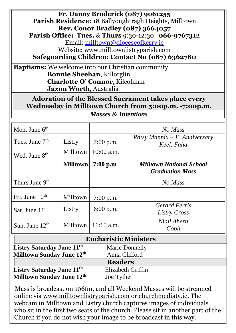## **Fr. Danny Broderick (087) 9061255 Parish Residence:** 18 Ballyoughtragh Heights, Milltown **Rev. Conor Bradley (087) 3664057**

**Parish Office: Tues.** & **Thurs** 9:30-12:30 **066-9767312** Email: [milltown@dioceseofkerry.ie](mailto:milltown@dioceseofkerry.ie) Website: www.milltownlistryparish.com

**Safeguarding Children: Contact No (087) 6362780**

**Baptisms:** We welcome into our Christian community **Bonnie Sheehan**, Killorglin **Charlotte O' Connor**, Kilcolman **Jaxon Worth**, Australia

**Adoration of the Blessed Sacrament takes place every Wednesday in Milltown Church from 5:00p.m. -7:00p.m.** *Masses & Intentions*

| Mon. June $6th$            |                 |              | No Mass                                                   |
|----------------------------|-----------------|--------------|-----------------------------------------------------------|
| Tues. June $7th$           | Listry          | $7:00$ p.m.  | Patsy Mannix – $I^{st}$ Anniversary<br>Keel, Faha         |
| Wed. June 8 <sup>th</sup>  | Milltown        | $10:00$ a.m. |                                                           |
|                            | <b>Milltown</b> | $7:00$ p.m.  | <b>Milltown National School</b><br><b>Graduation Mass</b> |
| Thurs June 9 <sup>th</sup> |                 |              | No Mass                                                   |
| Fri. June $10th$           | Milltown        | $7:00$ p.m.  |                                                           |
| Sat. June $11th$           | Listry          | $6:00$ p.m.  | <b>Gerard Ferris</b><br>Listry Cross                      |
| Sun. June $12th$           | Milltown        | $11:15$ a.m. | Niall Ahern<br>Cobh                                       |

| <b>Eucharistic Ministers</b>          |                       |  |  |  |
|---------------------------------------|-----------------------|--|--|--|
| Listry Saturday June 11 <sup>th</sup> | <b>Marie Donnelly</b> |  |  |  |
| Milltown Sunday June 12th             | Anna Clifford         |  |  |  |
|                                       | <b>Readers</b>        |  |  |  |
| Listry Saturday June 11 <sup>th</sup> | Elizabeth Griffin     |  |  |  |
| Milltown Sunday June 12th             | Joe Tyther            |  |  |  |

Mass is broadcast on 106fm, and all Weekend Masses will be streamed online via [www.milltownlistryparish.com](http://www.milltownlistryparish.com/) or churchmediatv.ie. The webcam in Milltown and Listry church captures images of individuals who sit in the first two seats of the church. Please sit in another part of the Church if you do not wish your image to be broadcast in this way.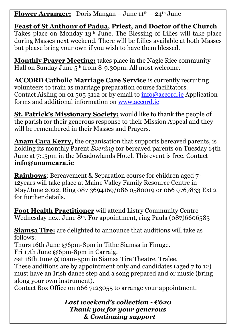**Flower Arranger:** Doris Mangan – June  $11<sup>th</sup>$  –  $24<sup>th</sup>$  June

**Feast of St Anthony of Padua, Priest, and Doctor of the Church** Takes place on Monday 13th June. The Blessing of Lilies will take place during Masses next weekend. There will be Lilies available at both Masses but please bring your own if you wish to have them blessed.

**Monthly Prayer Meeting:** takes place in the Nagle Rice community Hall on Sunday June 5<sup>th</sup> from 8-9.30pm. All most welcome.

**ACCORD Catholic Marriage Care Service** is currently recruiting volunteers to train as marriage preparation course facilitators. Contact Aisling on 01 505 3112 or by email to  $\frac{info@accord}{in}$  Application forms and additional information on [www.accord.ie](http://www.accord.ie/)

**St. Patrick's Missionary Society:** would like to thank the people of the parish for their generous response to their Mission Appeal and they will be remembered in their Masses and Prayers.

**Anam Cara Kerry,** the organisation that supports bereaved parents, is holding its monthly Parent *Evening* for bereaved parents on Tuesday 14th June at 7:15pm in the Meadowlands Hotel. This event is free. Contact **[info@anamcara.ie](mailto:info@anamcara.ie)**

**Rainbows**: Bereavement & Separation course for children aged 7- 12years will take place at Maine Valley Family Resource Centre in May/June 2022. Ring 087 3694169/086 0580019 or 066 9767833 Ext 2 for further details.

**Foot Health Practitioner** will attend Listry Community Centre Wednesday next June 8<sup>th</sup>. For appointment, ring Paula (087)6606585

**Siamsa Tíre:** are delighted to announce that auditions will take as follows:

Thurs 16th June @6pm-8pm in Tithe Siamsa in Finuge.

Fri 17th June @6pm-8pm in Carraig.

Sat 18th June @10am-5pm in Siamsa Tíre Theatre, Tralee.

These auditions are by appointment only and candidates (aged 7 to 12) must have an Irish dance step and a song prepared and or music (bring along your own instrument).

Contact Box Office on 066 7123055 to arrange your appointment.

*Last weekend's collection - €620 Thank you for your generous & Continuing support*